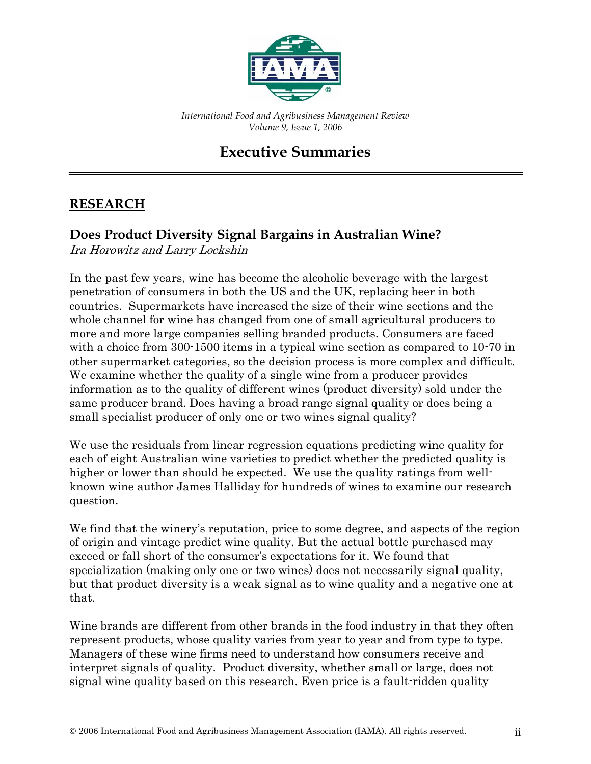

*International Food and Agribusiness Management Review Volume 9, Issue 1, 2006*

# **Executive Summaries**

### **RESEARCH**

#### **Does Product Diversity Signal Bargains in Australian Wine?**

Ira Horowitz and Larry Lockshin

In the past few years, wine has become the alcoholic beverage with the largest penetration of consumers in both the US and the UK, replacing beer in both countries. Supermarkets have increased the size of their wine sections and the whole channel for wine has changed from one of small agricultural producers to more and more large companies selling branded products. Consumers are faced with a choice from 300-1500 items in a typical wine section as compared to 10-70 in other supermarket categories, so the decision process is more complex and difficult. We examine whether the quality of a single wine from a producer provides information as to the quality of different wines (product diversity) sold under the same producer brand. Does having a broad range signal quality or does being a small specialist producer of only one or two wines signal quality?

We use the residuals from linear regression equations predicting wine quality for each of eight Australian wine varieties to predict whether the predicted quality is higher or lower than should be expected. We use the quality ratings from wellknown wine author James Halliday for hundreds of wines to examine our research question.

We find that the winery's reputation, price to some degree, and aspects of the region of origin and vintage predict wine quality. But the actual bottle purchased may exceed or fall short of the consumer's expectations for it. We found that specialization (making only one or two wines) does not necessarily signal quality, but that product diversity is a weak signal as to wine quality and a negative one at that.

Wine brands are different from other brands in the food industry in that they often represent products, whose quality varies from year to year and from type to type. Managers of these wine firms need to understand how consumers receive and interpret signals of quality. Product diversity, whether small or large, does not signal wine quality based on this research. Even price is a fault-ridden quality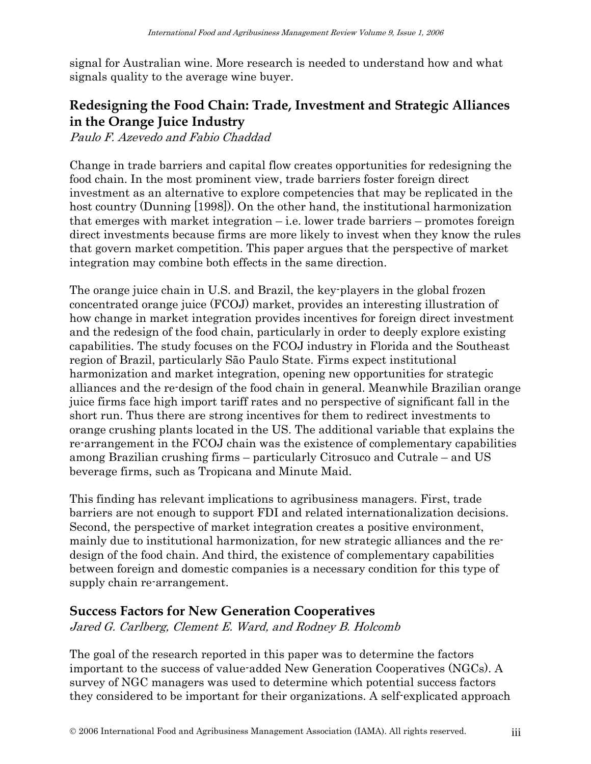signal for Australian wine. More research is needed to understand how and what signals quality to the average wine buyer.

### **Redesigning the Food Chain: Trade, Investment and Strategic Alliances in the Orange Juice Industry**

Paulo F. Azevedo and Fabio Chaddad

Change in trade barriers and capital flow creates opportunities for redesigning the food chain. In the most prominent view, trade barriers foster foreign direct investment as an alternative to explore competencies that may be replicated in the host country (Dunning [1998]). On the other hand, the institutional harmonization that emerges with market integration  $-i.e.$  lower trade barriers – promotes foreign direct investments because firms are more likely to invest when they know the rules that govern market competition. This paper argues that the perspective of market integration may combine both effects in the same direction.

The orange juice chain in U.S. and Brazil, the key-players in the global frozen concentrated orange juice (FCOJ) market, provides an interesting illustration of how change in market integration provides incentives for foreign direct investment and the redesign of the food chain, particularly in order to deeply explore existing capabilities. The study focuses on the FCOJ industry in Florida and the Southeast region of Brazil, particularly São Paulo State. Firms expect institutional harmonization and market integration, opening new opportunities for strategic alliances and the re-design of the food chain in general. Meanwhile Brazilian orange juice firms face high import tariff rates and no perspective of significant fall in the short run. Thus there are strong incentives for them to redirect investments to orange crushing plants located in the US. The additional variable that explains the re-arrangement in the FCOJ chain was the existence of complementary capabilities among Brazilian crushing firms – particularly Citrosuco and Cutrale – and US beverage firms, such as Tropicana and Minute Maid.

This finding has relevant implications to agribusiness managers. First, trade barriers are not enough to support FDI and related internationalization decisions. Second, the perspective of market integration creates a positive environment, mainly due to institutional harmonization, for new strategic alliances and the redesign of the food chain. And third, the existence of complementary capabilities between foreign and domestic companies is a necessary condition for this type of supply chain re-arrangement.

#### **Success Factors for New Generation Cooperatives**

Jared G. Carlberg, Clement E. Ward, and Rodney B. Holcomb

The goal of the research reported in this paper was to determine the factors important to the success of value-added New Generation Cooperatives (NGCs). A survey of NGC managers was used to determine which potential success factors they considered to be important for their organizations. A self-explicated approach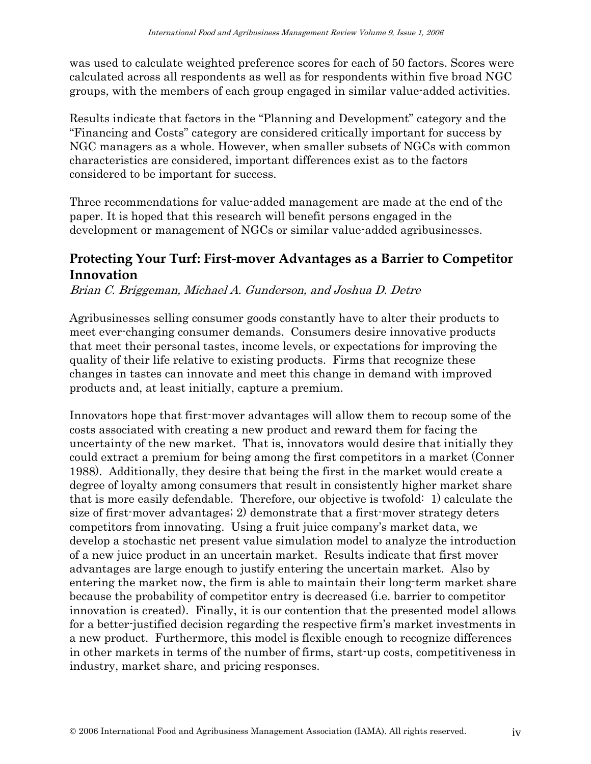was used to calculate weighted preference scores for each of 50 factors. Scores were calculated across all respondents as well as for respondents within five broad NGC groups, with the members of each group engaged in similar value-added activities.

Results indicate that factors in the "Planning and Development" category and the "Financing and Costs" category are considered critically important for success by NGC managers as a whole. However, when smaller subsets of NGCs with common characteristics are considered, important differences exist as to the factors considered to be important for success.

Three recommendations for value-added management are made at the end of the paper. It is hoped that this research will benefit persons engaged in the development or management of NGCs or similar value-added agribusinesses.

### **Protecting Your Turf: First-mover Advantages as a Barrier to Competitor Innovation**

Brian C. Briggeman, Michael A. Gunderson, and Joshua D. Detre

Agribusinesses selling consumer goods constantly have to alter their products to meet ever-changing consumer demands. Consumers desire innovative products that meet their personal tastes, income levels, or expectations for improving the quality of their life relative to existing products. Firms that recognize these changes in tastes can innovate and meet this change in demand with improved products and, at least initially, capture a premium.

Innovators hope that first-mover advantages will allow them to recoup some of the costs associated with creating a new product and reward them for facing the uncertainty of the new market. That is, innovators would desire that initially they could extract a premium for being among the first competitors in a market (Conner 1988). Additionally, they desire that being the first in the market would create a degree of loyalty among consumers that result in consistently higher market share that is more easily defendable. Therefore, our objective is twofold: 1) calculate the size of first-mover advantages; 2) demonstrate that a first-mover strategy deters competitors from innovating. Using a fruit juice company's market data, we develop a stochastic net present value simulation model to analyze the introduction of a new juice product in an uncertain market. Results indicate that first mover advantages are large enough to justify entering the uncertain market. Also by entering the market now, the firm is able to maintain their long-term market share because the probability of competitor entry is decreased (i.e. barrier to competitor innovation is created). Finally, it is our contention that the presented model allows for a better-justified decision regarding the respective firm's market investments in a new product. Furthermore, this model is flexible enough to recognize differences in other markets in terms of the number of firms, start-up costs, competitiveness in industry, market share, and pricing responses.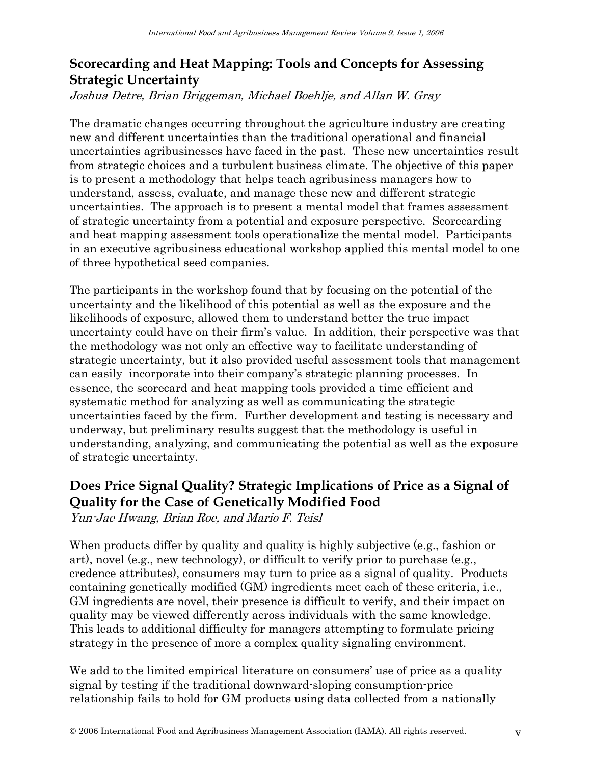## **Scorecarding and Heat Mapping: Tools and Concepts for Assessing Strategic Uncertainty**

Joshua Detre, Brian Briggeman, Michael Boehlje, and Allan W. Gray

The dramatic changes occurring throughout the agriculture industry are creating new and different uncertainties than the traditional operational and financial uncertainties agribusinesses have faced in the past. These new uncertainties result from strategic choices and a turbulent business climate. The objective of this paper is to present a methodology that helps teach agribusiness managers how to understand, assess, evaluate, and manage these new and different strategic uncertainties. The approach is to present a mental model that frames assessment of strategic uncertainty from a potential and exposure perspective. Scorecarding and heat mapping assessment tools operationalize the mental model. Participants in an executive agribusiness educational workshop applied this mental model to one of three hypothetical seed companies.

The participants in the workshop found that by focusing on the potential of the uncertainty and the likelihood of this potential as well as the exposure and the likelihoods of exposure, allowed them to understand better the true impact uncertainty could have on their firm's value. In addition, their perspective was that the methodology was not only an effective way to facilitate understanding of strategic uncertainty, but it also provided useful assessment tools that management can easily incorporate into their company's strategic planning processes. In essence, the scorecard and heat mapping tools provided a time efficient and systematic method for analyzing as well as communicating the strategic uncertainties faced by the firm. Further development and testing is necessary and underway, but preliminary results suggest that the methodology is useful in understanding, analyzing, and communicating the potential as well as the exposure of strategic uncertainty.

## **Does Price Signal Quality? Strategic Implications of Price as a Signal of Quality for the Case of Genetically Modified Food**

Yun-Jae Hwang, Brian Roe, and Mario F. Teisl

When products differ by quality and quality is highly subjective (e.g., fashion or art), novel (e.g., new technology), or difficult to verify prior to purchase (e.g., credence attributes), consumers may turn to price as a signal of quality. Products containing genetically modified (GM) ingredients meet each of these criteria, i.e., GM ingredients are novel, their presence is difficult to verify, and their impact on quality may be viewed differently across individuals with the same knowledge. This leads to additional difficulty for managers attempting to formulate pricing strategy in the presence of more a complex quality signaling environment.

We add to the limited empirical literature on consumers' use of price as a quality signal by testing if the traditional downward-sloping consumption-price relationship fails to hold for GM products using data collected from a nationally